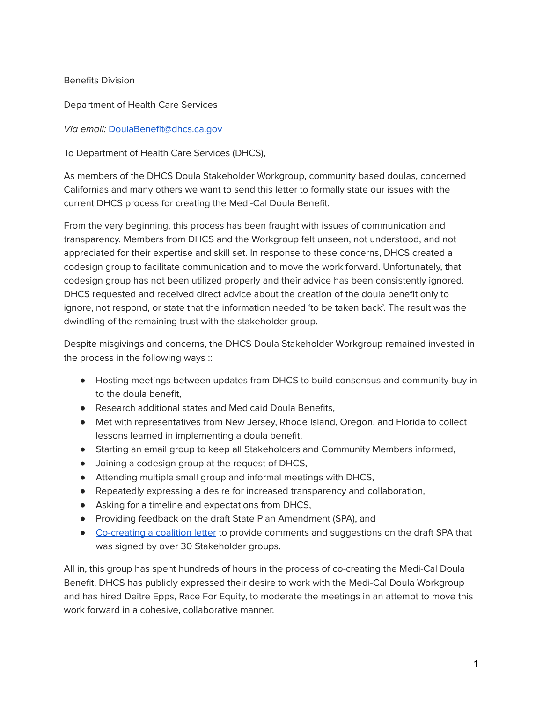#### Benefits Division

Department of Health Care Services

#### Via email: DoulaBenefit@dhcs.ca.gov

To Department of Health Care Services (DHCS),

As members of the DHCS Doula Stakeholder Workgroup, community based doulas, concerned Californias and many others we want to send this letter to formally state our issues with the current DHCS process for creating the Medi-Cal Doula Benefit.

From the very beginning, this process has been fraught with issues of communication and transparency. Members from DHCS and the Workgroup felt unseen, not understood, and not appreciated for their expertise and skill set. In response to these concerns, DHCS created a codesign group to facilitate communication and to move the work forward. Unfortunately, that codesign group has not been utilized properly and their advice has been consistently ignored. DHCS requested and received direct advice about the creation of the doula benefit only to ignore, not respond, or state that the information needed 'to be taken back'. The result was the dwindling of the remaining trust with the stakeholder group.

Despite misgivings and concerns, the DHCS Doula Stakeholder Workgroup remained invested in the process in the following ways ::

- Hosting meetings between updates from DHCS to build consensus and community buy in to the doula benefit,
- Research additional states and Medicaid Doula Benefits,
- Met with representatives from New Jersey, Rhode Island, Oregon, and Florida to collect lessons learned in implementing a doula benefit,
- Starting an email group to keep all Stakeholders and Community Members informed,
- Joining a codesign group at the request of DHCS,
- Attending multiple small group and informal meetings with DHCS,
- Repeatedly expressing a desire for increased transparency and collaboration,
- Asking for a timeline and expectations from DHCS,
- Providing feedback on the draft State Plan Amendment (SPA), and
- [Co-creating](https://dascdoulas.org/medical-implementation/) a coalition letter to provide comments and suggestions on the draft SPA that was signed by over 30 Stakeholder groups.

All in, this group has spent hundreds of hours in the process of co-creating the Medi-Cal Doula Benefit. DHCS has publicly expressed their desire to work with the Medi-Cal Doula Workgroup and has hired Deitre Epps, Race For Equity, to moderate the meetings in an attempt to move this work forward in a cohesive, collaborative manner.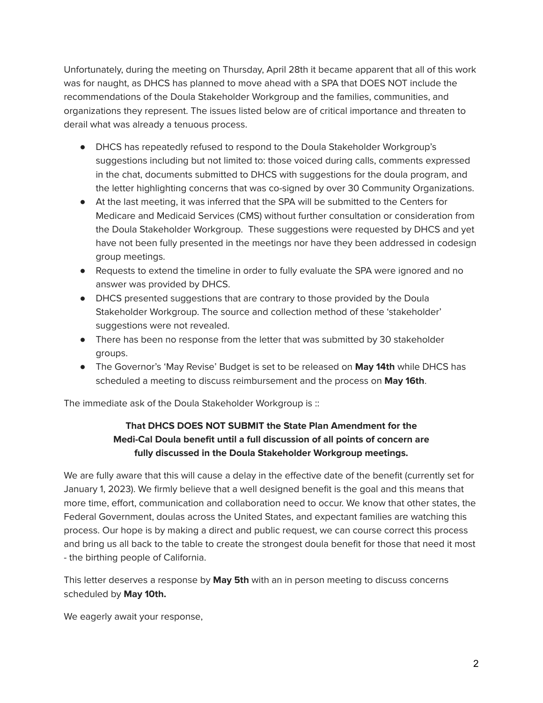Unfortunately, during the meeting on Thursday, April 28th it became apparent that all of this work was for naught, as DHCS has planned to move ahead with a SPA that DOES NOT include the recommendations of the Doula Stakeholder Workgroup and the families, communities, and organizations they represent. The issues listed below are of critical importance and threaten to derail what was already a tenuous process.

- DHCS has repeatedly refused to respond to the Doula Stakeholder Workgroup's suggestions including but not limited to: those voiced during calls, comments expressed in the chat, documents submitted to DHCS with suggestions for the doula program, and the letter highlighting concerns that was co-signed by over 30 Community Organizations.
- At the last meeting, it was inferred that the SPA will be submitted to the Centers for Medicare and Medicaid Services (CMS) without further consultation or consideration from the Doula Stakeholder Workgroup. These suggestions were requested by DHCS and yet have not been fully presented in the meetings nor have they been addressed in codesign group meetings.
- Requests to extend the timeline in order to fully evaluate the SPA were ignored and no answer was provided by DHCS.
- DHCS presented suggestions that are contrary to those provided by the Doula Stakeholder Workgroup. The source and collection method of these 'stakeholder' suggestions were not revealed.
- There has been no response from the letter that was submitted by 30 stakeholder groups.
- The Governor's 'May Revise' Budget is set to be released on **May 14th** while DHCS has scheduled a meeting to discuss reimbursement and the process on **May 16th**.

The immediate ask of the Doula Stakeholder Workgroup is ::

# **That DHCS DOES NOT SUBMIT the State Plan Amendment for the Medi-Cal Doula benefit until a full discussion of all points of concern are fully discussed in the Doula Stakeholder Workgroup meetings.**

We are fully aware that this will cause a delay in the effective date of the benefit (currently set for January 1, 2023). We firmly believe that a well designed benefit is the goal and this means that more time, effort, communication and collaboration need to occur. We know that other states, the Federal Government, doulas across the United States, and expectant families are watching this process. Our hope is by making a direct and public request, we can course correct this process and bring us all back to the table to create the strongest doula benefit for those that need it most - the birthing people of California.

This letter deserves a response by **May 5th** with an in person meeting to discuss concerns scheduled by **May 10th.**

We eagerly await your response,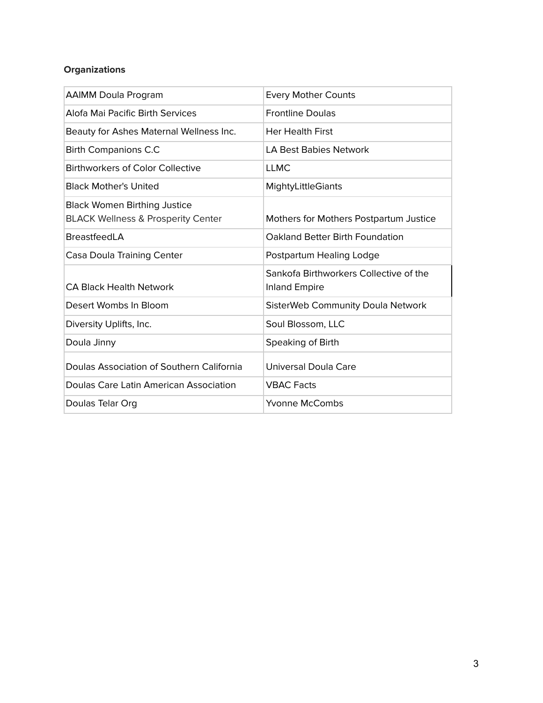# **Organizations**

| <b>AAIMM Doula Program</b>                                                           | <b>Every Mother Counts</b>                                     |  |  |
|--------------------------------------------------------------------------------------|----------------------------------------------------------------|--|--|
| Alofa Mai Pacific Birth Services                                                     | <b>Frontline Doulas</b>                                        |  |  |
| Beauty for Ashes Maternal Wellness Inc.                                              | <b>Her Health First</b>                                        |  |  |
| <b>Birth Companions C.C</b>                                                          | <b>LA Best Babies Network</b>                                  |  |  |
| <b>Birthworkers of Color Collective</b>                                              | <b>LLMC</b>                                                    |  |  |
| <b>Black Mother's United</b>                                                         | <b>MightyLittleGiants</b>                                      |  |  |
| <b>Black Women Birthing Justice</b><br><b>BLACK Wellness &amp; Prosperity Center</b> | Mothers for Mothers Postpartum Justice                         |  |  |
| <b>BreastfeedLA</b>                                                                  | Oakland Better Birth Foundation                                |  |  |
| Casa Doula Training Center                                                           | Postpartum Healing Lodge                                       |  |  |
| <b>CA Black Health Network</b>                                                       | Sankofa Birthworkers Collective of the<br><b>Inland Empire</b> |  |  |
| Desert Wombs In Bloom                                                                | <b>SisterWeb Community Doula Network</b>                       |  |  |
| Diversity Uplifts, Inc.                                                              | Soul Blossom, LLC                                              |  |  |
| Doula Jinny                                                                          | Speaking of Birth                                              |  |  |
| Doulas Association of Southern California                                            | <b>Universal Doula Care</b>                                    |  |  |
| Doulas Care Latin American Association                                               | <b>VBAC Facts</b>                                              |  |  |
| Doulas Telar Org                                                                     | Yvonne McCombs                                                 |  |  |